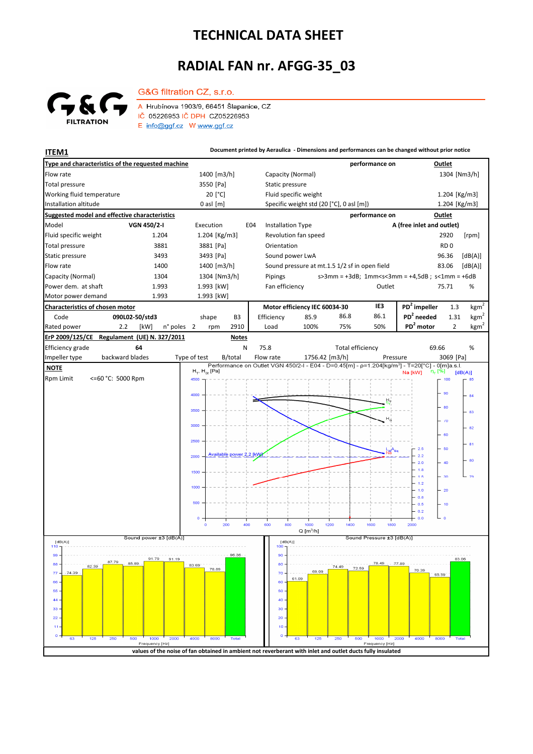## **TECHNICAL DATA SHEET**

## **RADIAL FAN nr. AFGG-35\_03**



G&G filtration CZ, s.r.o. A Hrubínova 1903/9, 66451 Šlapanice, CZ IČ 05226953 IČ DPH CZ05226953 E info@ggf.cz W www.ggf.cz

**ITEM1 Document printed by Aeraulica - Dimensions and performances can be changed without prior notice**

| Type and characteristics of the requested machine                                                          |                                  |                                                                                                                                          | performance on                               | Outlet                                                                     |
|------------------------------------------------------------------------------------------------------------|----------------------------------|------------------------------------------------------------------------------------------------------------------------------------------|----------------------------------------------|----------------------------------------------------------------------------|
| Flow rate                                                                                                  | 1400 [m3/h]                      | Capacity (Normal)                                                                                                                        |                                              | 1304 [Nm3/h]                                                               |
| <b>Total pressure</b>                                                                                      | 3550 [Pa]                        | Static pressure                                                                                                                          |                                              |                                                                            |
| Working fluid temperature                                                                                  | 20 [°C]                          | Fluid specific weight                                                                                                                    |                                              | 1.204 [Kg/m3]                                                              |
| Installation altitude                                                                                      | $0$ asl $[m]$                    | Specific weight std (20 [°C], 0 asl [m])                                                                                                 |                                              | 1.204 [Kg/m3]                                                              |
| Suggested model and effective characteristics                                                              |                                  |                                                                                                                                          | performance on                               | Outlet                                                                     |
| Model<br>VGN 450/2-I                                                                                       | Execution                        | E04<br><b>Installation Type</b>                                                                                                          |                                              | A (free inlet and outlet)                                                  |
| Fluid specific weight<br>1.204                                                                             | 1.204 [ $Kg/m3$ ]                | Revolution fan speed                                                                                                                     |                                              | 2920<br>[rpm]                                                              |
| Total pressure<br>3881                                                                                     | 3881 [Pa]                        | Orientation                                                                                                                              |                                              | RD <sub>0</sub>                                                            |
| Static pressure<br>3493                                                                                    | 3493 [Pa]                        | Sound power LwA                                                                                                                          |                                              | 96.36<br>[dB(A)]                                                           |
| Flow rate<br>1400                                                                                          | 1400 [m3/h]                      | Sound pressure at mt.1.5 1/2 sf in open field                                                                                            |                                              | [dB(A)]<br>83.06                                                           |
| Capacity (Normal)<br>1304                                                                                  | 1304 [Nm3/h]                     | Pipings                                                                                                                                  |                                              | $s > 3$ mm = +3dB; 1mm <s<3mm +4,5db;="" =="" s<1mm="+6dB&lt;/td"></s<3mm> |
| Power dem. at shaft<br>1.993                                                                               | 1.993 [kW]                       | Fan efficiency                                                                                                                           | Outlet                                       | 75.71<br>%                                                                 |
| Motor power demand<br>1.993                                                                                | 1.993 [kW]                       |                                                                                                                                          |                                              |                                                                            |
| <b>Characteristics of chosen motor</b>                                                                     |                                  | Motor efficiency IEC 60034-30                                                                                                            | IE3                                          | $PD2$ impeller<br>kgm <sup>2</sup><br>1.3                                  |
| Code<br>090L02-50/std3                                                                                     | shape<br>B <sub>3</sub>          | Efficiency<br>85.9                                                                                                                       | 86.1<br>86.8                                 | $PD2$ needed<br>$\mathrm{kgm}^2$<br>1.31                                   |
| Rated power<br>2.2<br>[kW]<br>n° poles                                                                     | $\overline{2}$<br>2910<br>rpm    | 100%<br>Load                                                                                                                             | 50%<br>75%                                   | PD <sup>2</sup> motor<br>$\mathrm{kgm}^2$<br>$\overline{2}$                |
| Regulament (UE) N. 327/2011<br>ErP 2009/125/CE<br><b>Notes</b>                                             |                                  |                                                                                                                                          |                                              |                                                                            |
| Efficiency grade<br>64                                                                                     | N                                | 75.8                                                                                                                                     | <b>Total efficiency</b>                      | 69.66<br>%                                                                 |
| backward blades<br>Impeller type                                                                           | Type of test<br>B/total          | Flow rate<br>1756.42 [m3/h]<br>Performance on Outlet VGN 450/2-I - E04 - D=0.45[m] - p=1.204[kg/m <sup>3</sup> ] - T=20[°C] - 0[m]a.s.l. | Pressure                                     | 3069 [Pa]                                                                  |
| <b>NOTE</b>                                                                                                | $H_T$ , $H_{\text{St}}$ [Pa]     |                                                                                                                                          |                                              | η <sub>τ</sub> [%]<br>Na [kW]<br>[dB(A)]                                   |
| <= 60 °C: 5000 Rpm<br><b>Rpm Limit</b>                                                                     | 4500                             |                                                                                                                                          |                                              | 100<br>85                                                                  |
|                                                                                                            | 4000                             |                                                                                                                                          |                                              | 90<br>84                                                                   |
|                                                                                                            |                                  |                                                                                                                                          |                                              | 80                                                                         |
|                                                                                                            | 3500                             |                                                                                                                                          |                                              | 83                                                                         |
|                                                                                                            | 3000                             |                                                                                                                                          |                                              | $\sqrt{0}$<br>82                                                           |
|                                                                                                            |                                  |                                                                                                                                          |                                              | - 60                                                                       |
|                                                                                                            | 2500                             |                                                                                                                                          |                                              | -81<br>2.5<br>- 50                                                         |
|                                                                                                            | Available power 2.2 [kVV<br>2000 |                                                                                                                                          | ₩ <sup>А</sup>                               | 2.2<br>80                                                                  |
|                                                                                                            |                                  |                                                                                                                                          |                                              | 2.0<br>$-40$<br>1.8                                                        |
|                                                                                                            | 1500                             |                                                                                                                                          |                                              | 1.5<br>$-30$<br>L 79                                                       |
|                                                                                                            | 1000                             |                                                                                                                                          |                                              | 1.2<br>$-1.0$<br>$-20$                                                     |
|                                                                                                            | 500                              |                                                                                                                                          |                                              | 0.8                                                                        |
|                                                                                                            |                                  |                                                                                                                                          |                                              | 0.5<br>$-10$<br>$-0.2$                                                     |
|                                                                                                            | o                                |                                                                                                                                          |                                              | ہ جا<br>$-0.0$                                                             |
|                                                                                                            | 400<br>200<br>$\circ$            | 600<br>800<br>1000<br>1200<br>$Q$ [m <sup>3</sup> /h]                                                                                    | 1400<br>1600<br>1800                         | 2000                                                                       |
| Sound power ±3 [dB(A)]<br>Sound Pressure ±3 [dB(A)]<br>[dB(A)]<br>[dB(A)]                                  |                                  |                                                                                                                                          |                                              |                                                                            |
| 110                                                                                                        |                                  | 100                                                                                                                                      |                                              |                                                                            |
| 99<br>91.79<br>91.19<br>88<br>85.89                                                                        | 96.36                            | 90                                                                                                                                       | 78.49<br>-77.89                              | 83.06                                                                      |
| 82.39<br>$-74.39$<br>77.                                                                                   | 83.69<br>78.89                   | 80 <sub>1</sub><br>69.09<br>70.                                                                                                          | 74.49<br>72.59                               | 70.39                                                                      |
| 66 -                                                                                                       |                                  | 61.09<br>60                                                                                                                              |                                              | 65.59                                                                      |
| $55 -$                                                                                                     |                                  | 50                                                                                                                                       |                                              |                                                                            |
| 44                                                                                                         |                                  | 40                                                                                                                                       |                                              |                                                                            |
| $33 -$                                                                                                     |                                  | 30 <sub>1</sub>                                                                                                                          |                                              |                                                                            |
| 22<br>11                                                                                                   |                                  | 20<br>10                                                                                                                                 |                                              |                                                                            |
|                                                                                                            |                                  | $\bullet$                                                                                                                                |                                              |                                                                            |
| 125<br>250<br>500<br>1000<br>2000<br>63<br>Frequency [Hz]                                                  | 4000<br>8000<br><b>Total</b>     | 125<br>63                                                                                                                                | 250<br>500<br>1000<br>2000<br>Frequency [Hz] | 4000<br>8000<br>Total                                                      |
| values of the noise of fan obtained in ambient not reverberant with inlet and outlet ducts fully insulated |                                  |                                                                                                                                          |                                              |                                                                            |